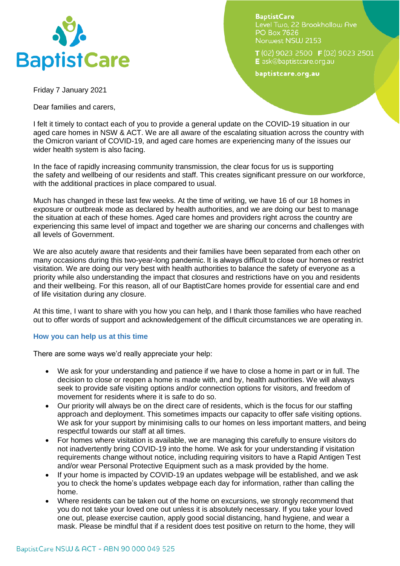

**BaptistCare** Level Two. 22 Brookhollow Ave **PO Box 7626** Norwest NSW 2153

 $T(02)$  9023 2500 **F** (02) 9023 2501 E ask@baptistcare.org.au

baptistcare.org.au

Friday 7 January 2021

Dear families and carers,

I felt it timely to contact each of you to provide a general update on the COVID-19 situation in our aged care homes in NSW & ACT. We are all aware of the escalating situation across the country with the Omicron variant of COVID-19, and aged care homes are experiencing many of the issues our wider health system is also facing.

In the face of rapidly increasing community transmission, the clear focus for us is supporting the safety and wellbeing of our residents and staff. This creates significant pressure on our workforce, with the additional practices in place compared to usual.

Much has changed in these last few weeks. At the time of writing, we have 16 of our 18 homes in exposure or outbreak mode as declared by health authorities, and we are doing our best to manage the situation at each of these homes. Aged care homes and providers right across the country are experiencing this same level of impact and together we are sharing our concerns and challenges with all levels of Government.

We are also acutely aware that residents and their families have been separated from each other on many occasions during this two-year-long pandemic. It is always difficult to close our homes or restrict visitation. We are doing our very best with health authorities to balance the safety of everyone as a priority while also understanding the impact that closures and restrictions have on you and residents and their wellbeing. For this reason, all of our BaptistCare homes provide for essential care and end of life visitation during any closure.

At this time, I want to share with you how you can help, and I thank those families who have reached out to offer words of support and acknowledgement of the difficult circumstances we are operating in.

## **How you can help us at this time**

There are some ways we'd really appreciate your help:

- We ask for your understanding and patience if we have to close a home in part or in full. The decision to close or reopen a home is made with, and by, health authorities. We will always seek to provide safe visiting options and/or connection options for visitors, and freedom of movement for residents where it is safe to do so.
- Our priority will always be on the direct care of residents, which is the focus for our staffing approach and deployment. This sometimes impacts our capacity to offer safe visiting options. We ask for your support by minimising calls to our homes on less important matters, and being respectful towards our staff at all times.
- For homes where visitation is available, we are managing this carefully to ensure visitors do not inadvertently bring COVID-19 into the home. We ask for your understanding if visitation requirements change without notice, including requiring visitors to have a Rapid Antigen Test and/or wear Personal Protective Equipment such as a mask provided by the home.
- If your home is impacted by COVID-19 an updates webpage will be established, and we ask you to check the home's updates webpage each day for information, rather than calling the home.
- Where residents can be taken out of the home on excursions, we strongly recommend that you do not take your loved one out unless it is absolutely necessary. If you take your loved one out, please exercise caution, apply good social distancing, hand hygiene, and wear a mask. Please be mindful that if a resident does test positive on return to the home, they will